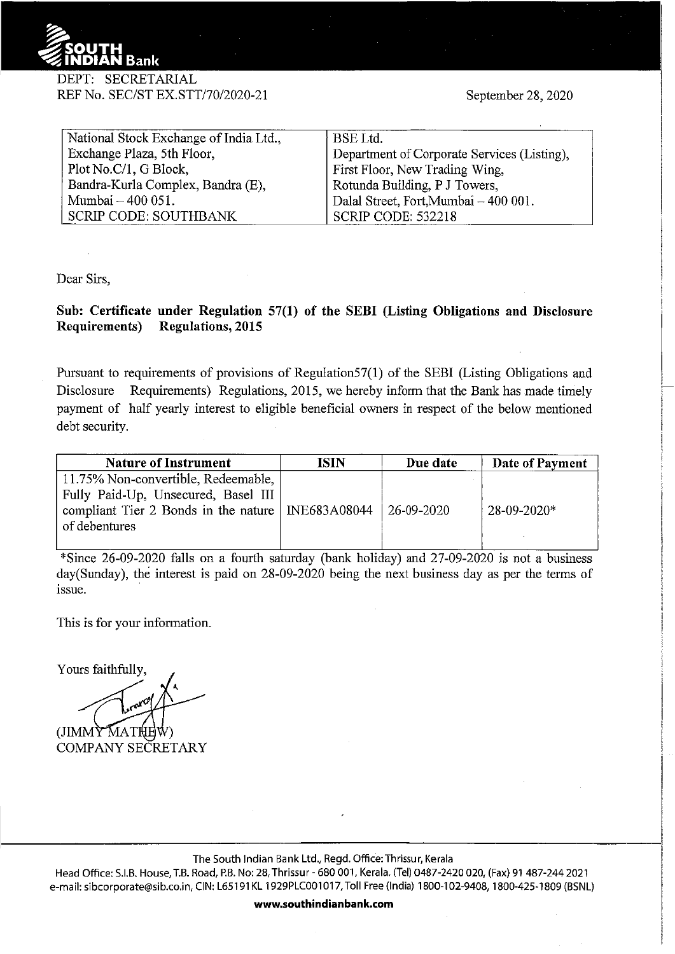

## DEPT: SECRETARIAL REF No. SEC/ST EX.STT/70/2020-21

September 28, 2020

| National Stock Exchange of India Ltd., | <b>BSE</b> Ltd.                             |  |  |
|----------------------------------------|---------------------------------------------|--|--|
| Exchange Plaza, 5th Floor,             | Department of Corporate Services (Listing), |  |  |
| Plot No.C/1, G Block,                  | First Floor, New Trading Wing,              |  |  |
| Bandra-Kurla Complex, Bandra (E),      | Rotunda Building, P J Towers,               |  |  |
| Mumbai - 400 051.                      | Dalal Street, Fort, Mumbai - 400 001.       |  |  |
| <b>SCRIP CODE: SOUTHBANK</b>           | SCRIP CODE: 532218                          |  |  |

Dear Sirs,

## **Sub: Certificate under Regulation 57(1) of the SEBI (Listing Obligations and Disclosure Requirements) Regulations, 2015**

Pursuant to requirements of provisions of Regulation57(1) of the SEBI (Listing Obligations and Disclosure Requirements) Regulations, 2015, we hereby inform that the Bank has made timely payment of half yearly interest to eligible beneficial owners in respect of the below mentioned debt security.

| <b>Nature of Instrument</b>                                                                                                                        | ISIN | Due date   | Date of Payment   |
|----------------------------------------------------------------------------------------------------------------------------------------------------|------|------------|-------------------|
| 11.75% Non-convertible, Redeemable,<br>Fully Paid-Up, Unsecured, Basel III<br>compliant Tier 2 Bonds in the nature   INE683A08044<br>of debentures |      | 26-09-2020 | $28 - 09 - 2020*$ |

\*Since  $26-09-2020$  falls on a fourth saturday (bank holiday) and  $27-09-2020$  is not a business day(Sunday), the interest is paid on 28-09-2020 being the next business day as per the terms of issue.

This is for your information.

Yours faithfully,

(JIMMY MATHEW) COMPANY SECRETARY

The South Indian Bank Ltd., Regd. Office:Thrissur, Kerala

Head Office: S.I.B. House, T.B. Road, P.B. No: 28, Thrissur- 680 001, Kerala. (Tel) 0487-2420 020, (Fax) 91 487-244 2021 e-mail: sibcorporate@sib.co.in, CIN: L65191KL 1929PLC001017, Toll Free (India) 1800-102-9408, 1800-425-1809 (BSNL)

**www.southindianbank.com**